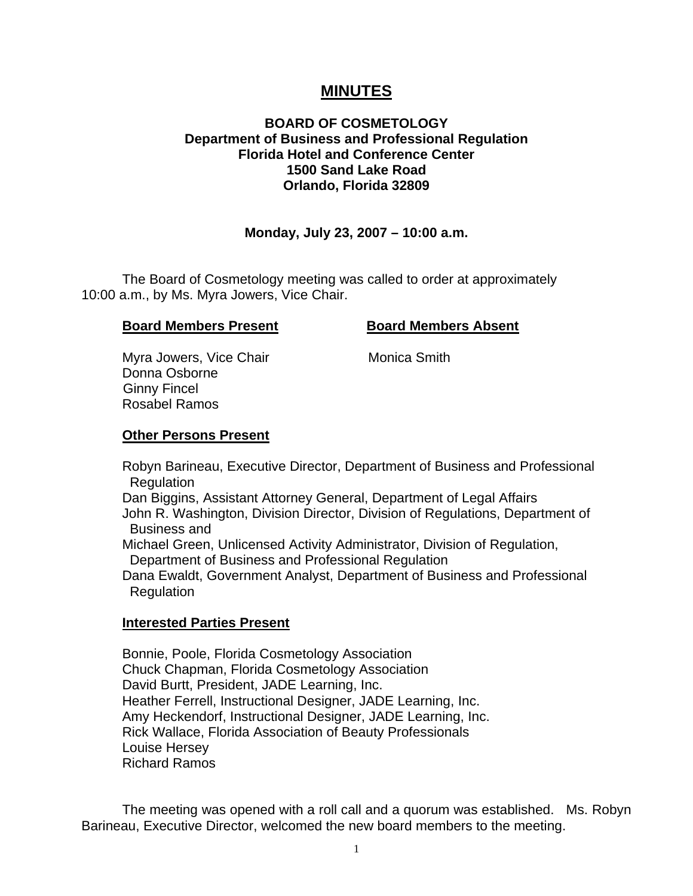# **MINUTES**

# **BOARD OF COSMETOLOGY Department of Business and Professional Regulation Florida Hotel and Conference Center 1500 Sand Lake Road Orlando, Florida 32809**

# **Monday, July 23, 2007 – 10:00 a.m.**

 The Board of Cosmetology meeting was called to order at approximately 10:00 a.m., by Ms. Myra Jowers, Vice Chair.

## **Board Members Present Board Members Absent**

Myra Jowers, Vice Chair **Monica Smith**  Donna Osborne Ginny Fincel Rosabel Ramos

#### **Other Persons Present**

 Robyn Barineau, Executive Director, Department of Business and Professional Regulation

 Dan Biggins, Assistant Attorney General, Department of Legal Affairs John R. Washington, Division Director, Division of Regulations, Department of Business and

 Michael Green, Unlicensed Activity Administrator, Division of Regulation, Department of Business and Professional Regulation

 Dana Ewaldt, Government Analyst, Department of Business and Professional Regulation

#### **Interested Parties Present**

Bonnie, Poole, Florida Cosmetology Association Chuck Chapman, Florida Cosmetology Association David Burtt, President, JADE Learning, Inc. Heather Ferrell, Instructional Designer, JADE Learning, Inc. Amy Heckendorf, Instructional Designer, JADE Learning, Inc. Rick Wallace, Florida Association of Beauty Professionals Louise Hersey Richard Ramos

 The meeting was opened with a roll call and a quorum was established. Ms. Robyn Barineau, Executive Director, welcomed the new board members to the meeting.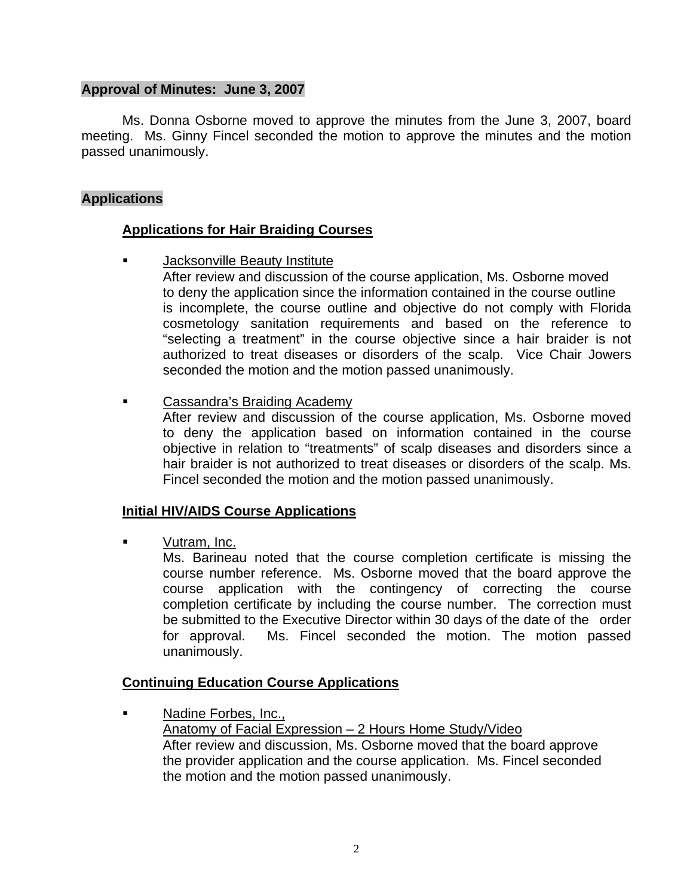# **Approval of Minutes: June 3, 2007**

Ms. Donna Osborne moved to approve the minutes from the June 3, 2007, board meeting. Ms. Ginny Fincel seconded the motion to approve the minutes and the motion passed unanimously.

# **Applications**

# **Applications for Hair Braiding Courses**

Jacksonville Beauty Institute

 After review and discussion of the course application, Ms. Osborne moved to deny the application since the information contained in the course outline is incomplete, the course outline and objective do not comply with Florida cosmetology sanitation requirements and based on the reference to "selecting a treatment" in the course objective since a hair braider is not authorized to treat diseases or disorders of the scalp. Vice Chair Jowers seconded the motion and the motion passed unanimously.

Cassandra's Braiding Academy

 After review and discussion of the course application, Ms. Osborne moved to deny the application based on information contained in the course objective in relation to "treatments" of scalp diseases and disorders since a hair braider is not authorized to treat diseases or disorders of the scalp. Ms. Fincel seconded the motion and the motion passed unanimously.

#### **Initial HIV/AIDS Course Applications**

Vutram, Inc.

 Ms. Barineau noted that the course completion certificate is missing the course number reference. Ms. Osborne moved that the board approve the course application with the contingency of correcting the course completion certificate by including the course number. The correction must be submitted to the Executive Director within 30 days of the date of the order for approval. Ms. Fincel seconded the motion. The motion passed unanimously.

# **Continuing Education Course Applications**

 Nadine Forbes, Inc., Anatomy of Facial Expression – 2 Hours Home Study/Video After review and discussion, Ms. Osborne moved that the board approve the provider application and the course application. Ms. Fincel seconded the motion and the motion passed unanimously.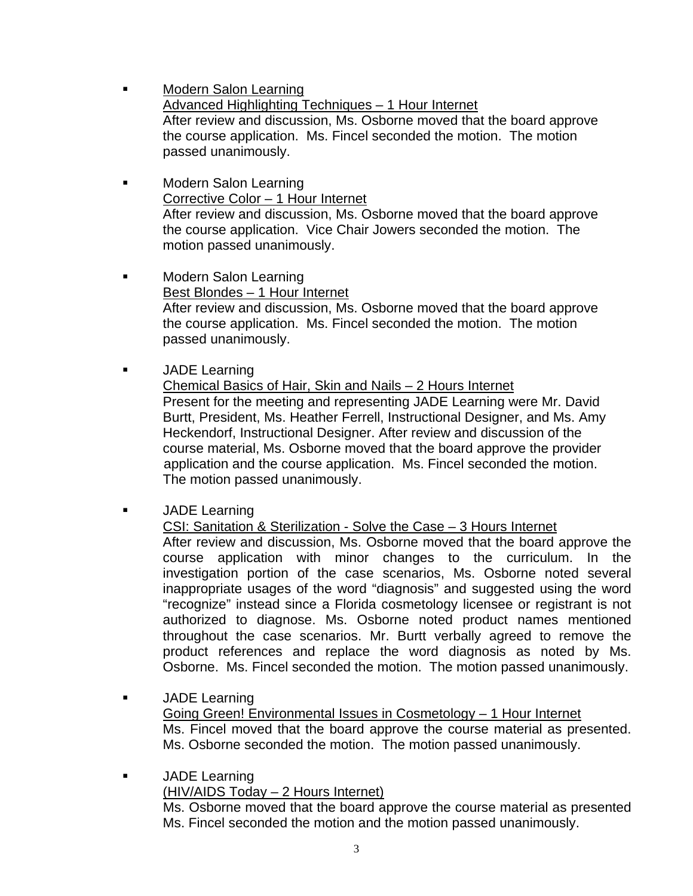- Modern Salon Learning Advanced Highlighting Techniques – 1 Hour Internet After review and discussion, Ms. Osborne moved that the board approve the course application. Ms. Fincel seconded the motion. The motion passed unanimously.
- Modern Salon Learning Corrective Color – 1 Hour Internet After review and discussion, Ms. Osborne moved that the board approve the course application. Vice Chair Jowers seconded the motion. The motion passed unanimously.
- **Example 21 Modern Salon Learning**  Best Blondes – 1 Hour Internet After review and discussion, Ms. Osborne moved that the board approve the course application. Ms. Fincel seconded the motion. The motion passed unanimously.

**JADE Learning** 

 Chemical Basics of Hair, Skin and Nails – 2 Hours Internet Present for the meeting and representing JADE Learning were Mr. David Burtt, President, Ms. Heather Ferrell, Instructional Designer, and Ms. Amy Heckendorf, Instructional Designer. After review and discussion of the course material, Ms. Osborne moved that the board approve the provider application and the course application. Ms. Fincel seconded the motion. The motion passed unanimously.

JADE Learning

 CSI: Sanitation & Sterilization - Solve the Case – 3 Hours Internet After review and discussion, Ms. Osborne moved that the board approve the course application with minor changes to the curriculum. In the investigation portion of the case scenarios, Ms. Osborne noted several inappropriate usages of the word "diagnosis" and suggested using the word "recognize" instead since a Florida cosmetology licensee or registrant is not authorized to diagnose. Ms. Osborne noted product names mentioned throughout the case scenarios. Mr. Burtt verbally agreed to remove the product references and replace the word diagnosis as noted by Ms. Osborne. Ms. Fincel seconded the motion. The motion passed unanimously.

 JADE Learning Going Green! Environmental Issues in Cosmetology – 1 Hour Internet Ms. Fincel moved that the board approve the course material as presented. Ms. Osborne seconded the motion. The motion passed unanimously.

**JADE Learning**  (HIV/AIDS Today – 2 Hours Internet) Ms. Osborne moved that the board approve the course material as presented Ms. Fincel seconded the motion and the motion passed unanimously.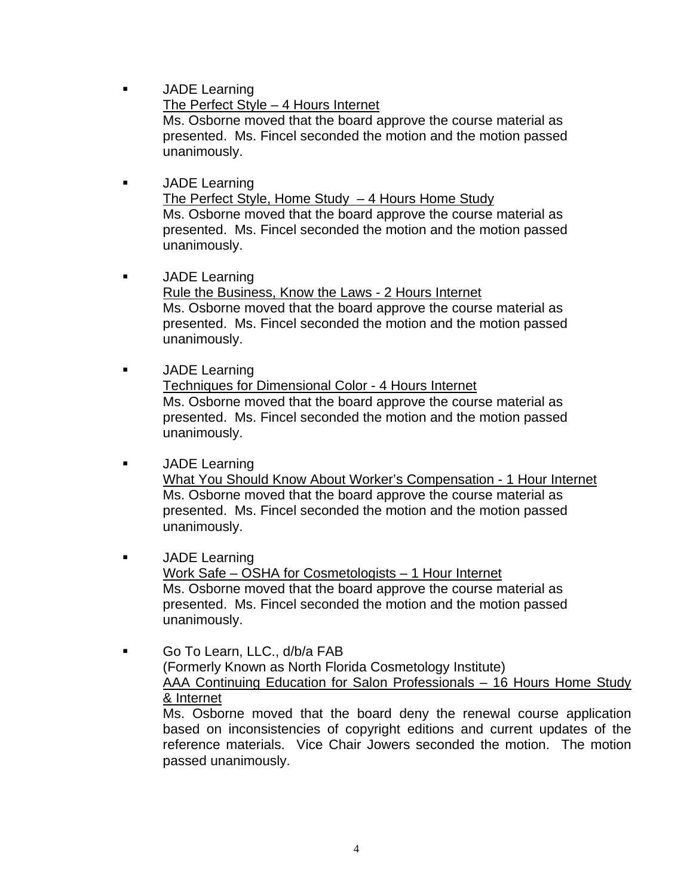**JADE Learning** 

 The Perfect Style – 4 Hours Internet Ms. Osborne moved that the board approve the course material as presented. Ms. Fincel seconded the motion and the motion passed unanimously.

- JADE Learning The Perfect Style, Home Study – 4 Hours Home Study Ms. Osborne moved that the board approve the course material as presented. Ms. Fincel seconded the motion and the motion passed unanimously.
- **JADE** Learning Rule the Business, Know the Laws - 2 Hours Internet Ms. Osborne moved that the board approve the course material as presented. Ms. Fincel seconded the motion and the motion passed unanimously.
- **JADE Learning**  Techniques for Dimensional Color - 4 Hours Internet Ms. Osborne moved that the board approve the course material as presented. Ms. Fincel seconded the motion and the motion passed unanimously.

# **JADE Learning**

 What You Should Know About Worker's Compensation - 1 Hour Internet Ms. Osborne moved that the board approve the course material as presented. Ms. Fincel seconded the motion and the motion passed unanimously.

**JADE** Learning

 Work Safe – OSHA for Cosmetologists – 1 Hour Internet Ms. Osborne moved that the board approve the course material as presented. Ms. Fincel seconded the motion and the motion passed unanimously.

 Go To Learn, LLC., d/b/a FAB (Formerly Known as North Florida Cosmetology Institute) AAA Continuing Education for Salon Professionals – 16 Hours Home Study & Internet Ms. Osborne moved that the board deny the renewal course application

based on inconsistencies of copyright editions and current updates of the reference materials. Vice Chair Jowers seconded the motion. The motion passed unanimously.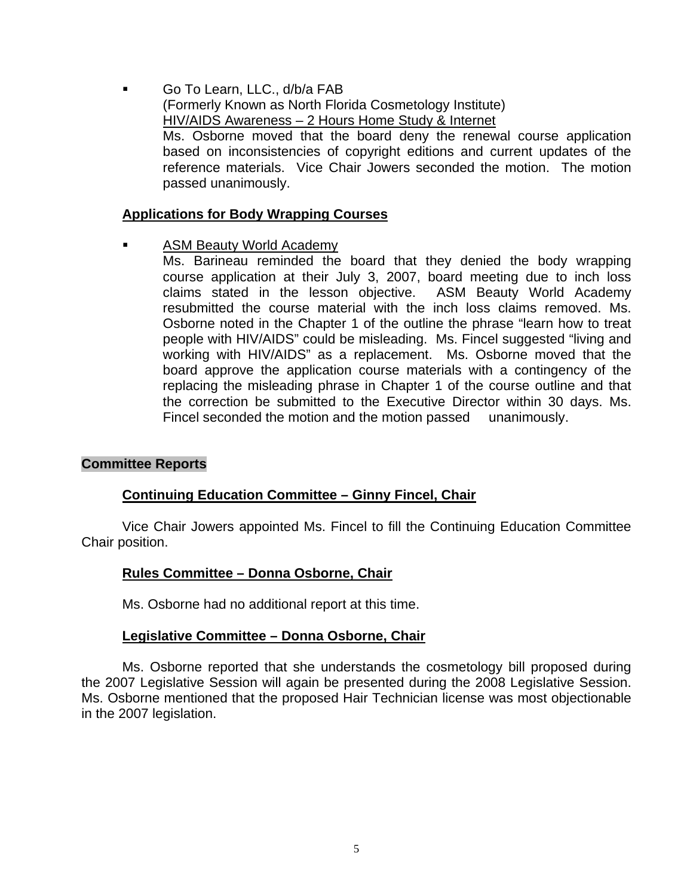Go To Learn, LLC., d/b/a FAB (Formerly Known as North Florida Cosmetology Institute) HIV/AIDS Awareness – 2 Hours Home Study & Internet Ms. Osborne moved that the board deny the renewal course application based on inconsistencies of copyright editions and current updates of the reference materials. Vice Chair Jowers seconded the motion. The motion passed unanimously.

## **Applications for Body Wrapping Courses**

- ASM Beauty World Academy
	- Ms. Barineau reminded the board that they denied the body wrapping course application at their July 3, 2007, board meeting due to inch loss claims stated in the lesson objective. ASM Beauty World Academy resubmitted the course material with the inch loss claims removed. Ms. Osborne noted in the Chapter 1 of the outline the phrase "learn how to treat people with HIV/AIDS" could be misleading. Ms. Fincel suggested "living and working with HIV/AIDS" as a replacement. Ms. Osborne moved that the board approve the application course materials with a contingency of the replacing the misleading phrase in Chapter 1 of the course outline and that the correction be submitted to the Executive Director within 30 days. Ms. Fincel seconded the motion and the motion passed unanimously.

#### **Committee Reports**

# **Continuing Education Committee – Ginny Fincel, Chair**

Vice Chair Jowers appointed Ms. Fincel to fill the Continuing Education Committee Chair position.

# **Rules Committee – Donna Osborne, Chair**

Ms. Osborne had no additional report at this time.

#### **Legislative Committee – Donna Osborne, Chair**

 Ms. Osborne reported that she understands the cosmetology bill proposed during the 2007 Legislative Session will again be presented during the 2008 Legislative Session. Ms. Osborne mentioned that the proposed Hair Technician license was most objectionable in the 2007 legislation.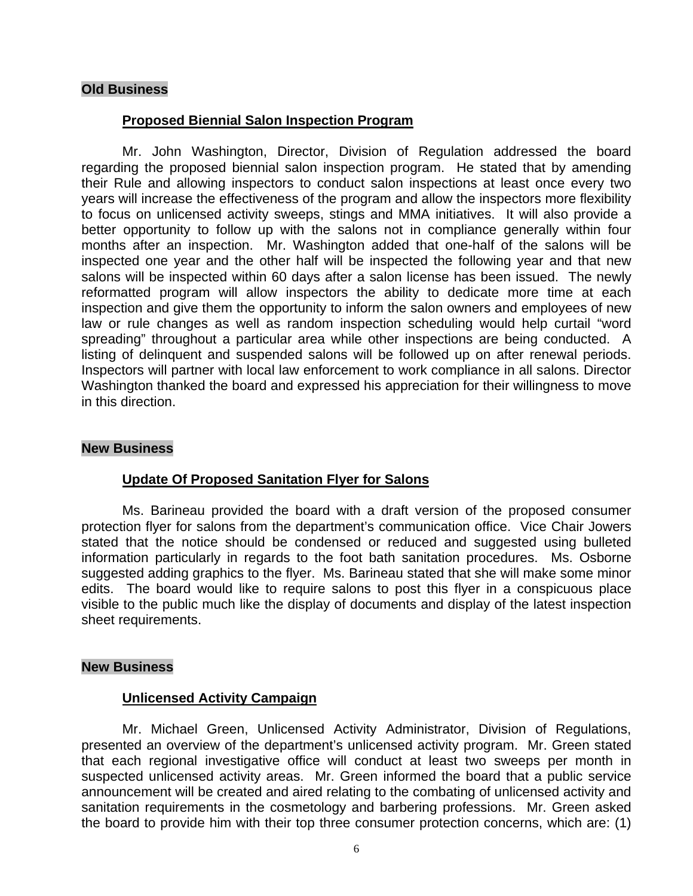## **Old Business**

## **Proposed Biennial Salon Inspection Program**

 Mr. John Washington, Director, Division of Regulation addressed the board regarding the proposed biennial salon inspection program. He stated that by amending their Rule and allowing inspectors to conduct salon inspections at least once every two years will increase the effectiveness of the program and allow the inspectors more flexibility to focus on unlicensed activity sweeps, stings and MMA initiatives. It will also provide a better opportunity to follow up with the salons not in compliance generally within four months after an inspection. Mr. Washington added that one-half of the salons will be inspected one year and the other half will be inspected the following year and that new salons will be inspected within 60 days after a salon license has been issued. The newly reformatted program will allow inspectors the ability to dedicate more time at each inspection and give them the opportunity to inform the salon owners and employees of new law or rule changes as well as random inspection scheduling would help curtail "word spreading" throughout a particular area while other inspections are being conducted. A listing of delinquent and suspended salons will be followed up on after renewal periods. Inspectors will partner with local law enforcement to work compliance in all salons. Director Washington thanked the board and expressed his appreciation for their willingness to move in this direction.

#### **New Business**

#### **Update Of Proposed Sanitation Flyer for Salons**

 Ms. Barineau provided the board with a draft version of the proposed consumer protection flyer for salons from the department's communication office. Vice Chair Jowers stated that the notice should be condensed or reduced and suggested using bulleted information particularly in regards to the foot bath sanitation procedures. Ms. Osborne suggested adding graphics to the flyer. Ms. Barineau stated that she will make some minor edits. The board would like to require salons to post this flyer in a conspicuous place visible to the public much like the display of documents and display of the latest inspection sheet requirements.

#### **New Business**

#### **Unlicensed Activity Campaign**

 Mr. Michael Green, Unlicensed Activity Administrator, Division of Regulations, presented an overview of the department's unlicensed activity program. Mr. Green stated that each regional investigative office will conduct at least two sweeps per month in suspected unlicensed activity areas. Mr. Green informed the board that a public service announcement will be created and aired relating to the combating of unlicensed activity and sanitation requirements in the cosmetology and barbering professions. Mr. Green asked the board to provide him with their top three consumer protection concerns, which are: (1)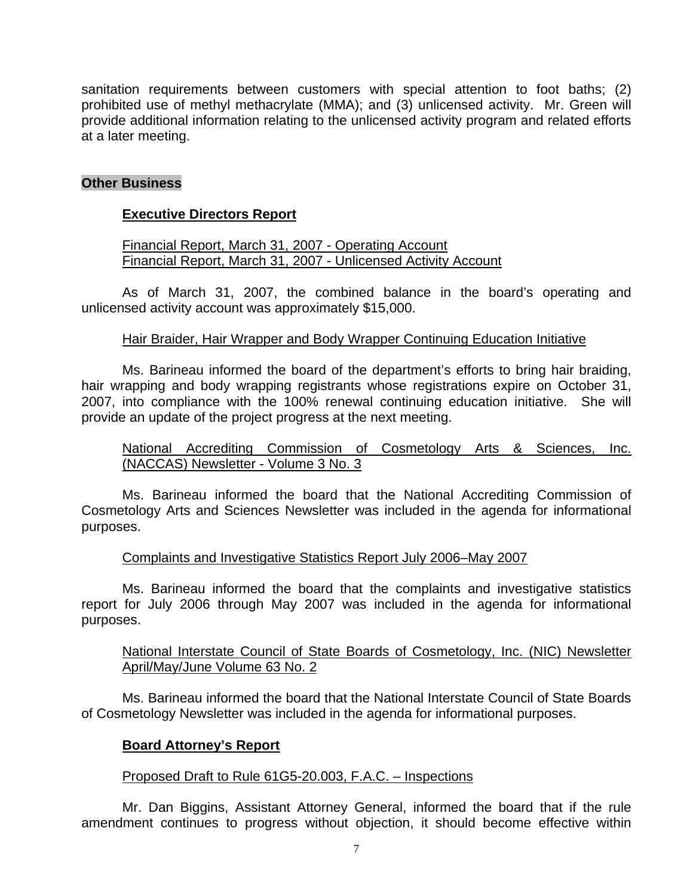sanitation requirements between customers with special attention to foot baths; (2) prohibited use of methyl methacrylate (MMA); and (3) unlicensed activity. Mr. Green will provide additional information relating to the unlicensed activity program and related efforts at a later meeting.

# **Other Business**

# **Executive Directors Report**

 Financial Report, March 31, 2007 - Operating Account Financial Report, March 31, 2007 - Unlicensed Activity Account

 As of March 31, 2007, the combined balance in the board's operating and unlicensed activity account was approximately \$15,000.

## Hair Braider, Hair Wrapper and Body Wrapper Continuing Education Initiative

 Ms. Barineau informed the board of the department's efforts to bring hair braiding, hair wrapping and body wrapping registrants whose registrations expire on October 31, 2007, into compliance with the 100% renewal continuing education initiative. She will provide an update of the project progress at the next meeting.

# National Accrediting Commission of Cosmetology Arts & Sciences, Inc. (NACCAS) Newsletter - Volume 3 No. 3

 Ms. Barineau informed the board that the National Accrediting Commission of Cosmetology Arts and Sciences Newsletter was included in the agenda for informational purposes.

# Complaints and Investigative Statistics Report July 2006–May 2007

 Ms. Barineau informed the board that the complaints and investigative statistics report for July 2006 through May 2007 was included in the agenda for informational purposes.

# National Interstate Council of State Boards of Cosmetology, Inc. (NIC) Newsletter April/May/June Volume 63 No. 2

 Ms. Barineau informed the board that the National Interstate Council of State Boards of Cosmetology Newsletter was included in the agenda for informational purposes.

# **Board Attorney's Report**

#### Proposed Draft to Rule 61G5-20.003, F.A.C. – Inspections

 Mr. Dan Biggins, Assistant Attorney General, informed the board that if the rule amendment continues to progress without objection, it should become effective within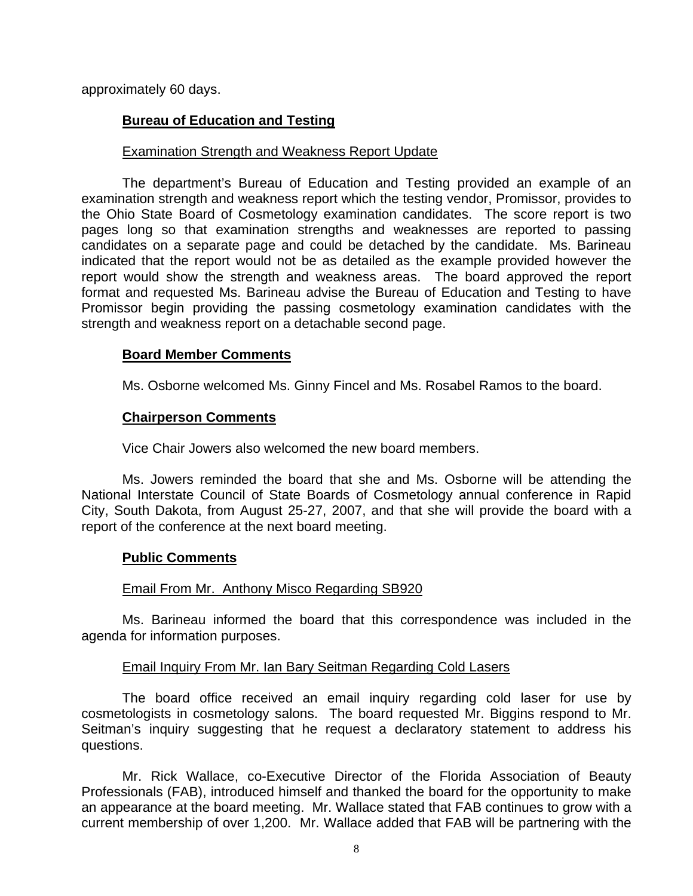approximately 60 days.

# **Bureau of Education and Testing**

## Examination Strength and Weakness Report Update

 The department's Bureau of Education and Testing provided an example of an examination strength and weakness report which the testing vendor, Promissor, provides to the Ohio State Board of Cosmetology examination candidates. The score report is two pages long so that examination strengths and weaknesses are reported to passing candidates on a separate page and could be detached by the candidate. Ms. Barineau indicated that the report would not be as detailed as the example provided however the report would show the strength and weakness areas. The board approved the report format and requested Ms. Barineau advise the Bureau of Education and Testing to have Promissor begin providing the passing cosmetology examination candidates with the strength and weakness report on a detachable second page.

## **Board Member Comments**

Ms. Osborne welcomed Ms. Ginny Fincel and Ms. Rosabel Ramos to the board.

## **Chairperson Comments**

Vice Chair Jowers also welcomed the new board members.

 Ms. Jowers reminded the board that she and Ms. Osborne will be attending the National Interstate Council of State Boards of Cosmetology annual conference in Rapid City, South Dakota, from August 25-27, 2007, and that she will provide the board with a report of the conference at the next board meeting.

#### **Public Comments**

#### Email From Mr. Anthony Misco Regarding SB920

 Ms. Barineau informed the board that this correspondence was included in the agenda for information purposes.

# Email Inquiry From Mr. Ian Bary Seitman Regarding Cold Lasers

 The board office received an email inquiry regarding cold laser for use by cosmetologists in cosmetology salons. The board requested Mr. Biggins respond to Mr. Seitman's inquiry suggesting that he request a declaratory statement to address his questions.

 Mr. Rick Wallace, co-Executive Director of the Florida Association of Beauty Professionals (FAB), introduced himself and thanked the board for the opportunity to make an appearance at the board meeting. Mr. Wallace stated that FAB continues to grow with a current membership of over 1,200. Mr. Wallace added that FAB will be partnering with the